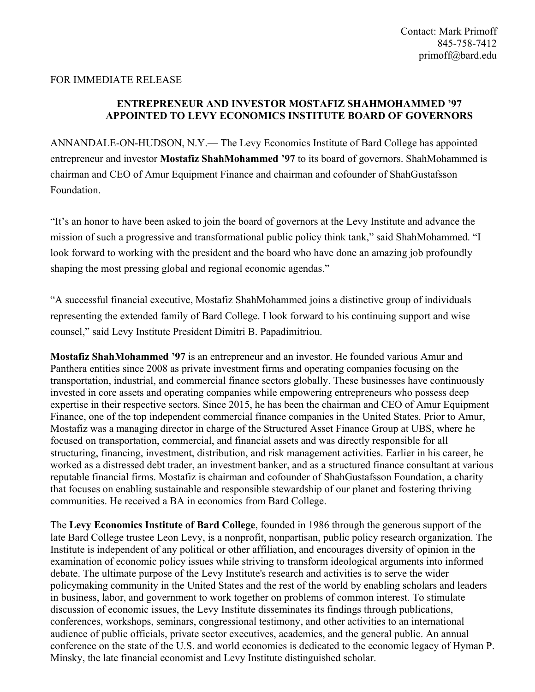## FOR IMMEDIATE RELEASE

## **ENTREPRENEUR AND INVESTOR MOSTAFIZ SHAHMOHAMMED '97 APPOINTED TO LEVY ECONOMICS INSTITUTE BOARD OF GOVERNORS**

ANNANDALE-ON-HUDSON, N.Y.— The Levy Economics Institute of Bard College has appointed entrepreneur and investor **Mostafiz ShahMohammed '97** to its board of governors. ShahMohammed is chairman and CEO of Amur Equipment Finance and chairman and cofounder of ShahGustafsson Foundation.

"It's an honor to have been asked to join the board of governors at the Levy Institute and advance the mission of such a progressive and transformational public policy think tank," said ShahMohammed. "I look forward to working with the president and the board who have done an amazing job profoundly shaping the most pressing global and regional economic agendas."

"A successful financial executive, Mostafiz ShahMohammed joins a distinctive group of individuals representing the extended family of Bard College. I look forward to his continuing support and wise counsel," said Levy Institute President Dimitri B. Papadimitriou.

**Mostafiz ShahMohammed '97** is an entrepreneur and an investor. He founded various Amur and Panthera entities since 2008 as private investment firms and operating companies focusing on the transportation, industrial, and commercial finance sectors globally. These businesses have continuously invested in core assets and operating companies while empowering entrepreneurs who possess deep expertise in their respective sectors. Since 2015, he has been the chairman and CEO of Amur Equipment Finance, one of the top independent commercial finance companies in the United States. Prior to Amur, Mostafiz was a managing director in charge of the Structured Asset Finance Group at UBS, where he focused on transportation, commercial, and financial assets and was directly responsible for all structuring, financing, investment, distribution, and risk management activities. Earlier in his career, he worked as a distressed debt trader, an investment banker, and as a structured finance consultant at various reputable financial firms. Mostafiz is chairman and cofounder of ShahGustafsson Foundation, a charity that focuses on enabling sustainable and responsible stewardship of our planet and fostering thriving communities. He received a BA in economics from Bard College.

The **Levy Economics Institute of Bard College**, founded in 1986 through the generous support of the late Bard College trustee Leon Levy, is a nonprofit, nonpartisan, public policy research organization. The Institute is independent of any political or other affiliation, and encourages diversity of opinion in the examination of economic policy issues while striving to transform ideological arguments into informed debate. The ultimate purpose of the Levy Institute's research and activities is to serve the wider policymaking community in the United States and the rest of the world by enabling scholars and leaders in business, labor, and government to work together on problems of common interest. To stimulate discussion of economic issues, the Levy Institute disseminates its findings through publications, conferences, workshops, seminars, congressional testimony, and other activities to an international audience of public officials, private sector executives, academics, and the general public. An annual conference on the state of the U.S. and world economies is dedicated to the economic legacy of Hyman P. Minsky, the late financial economist and Levy Institute distinguished scholar.